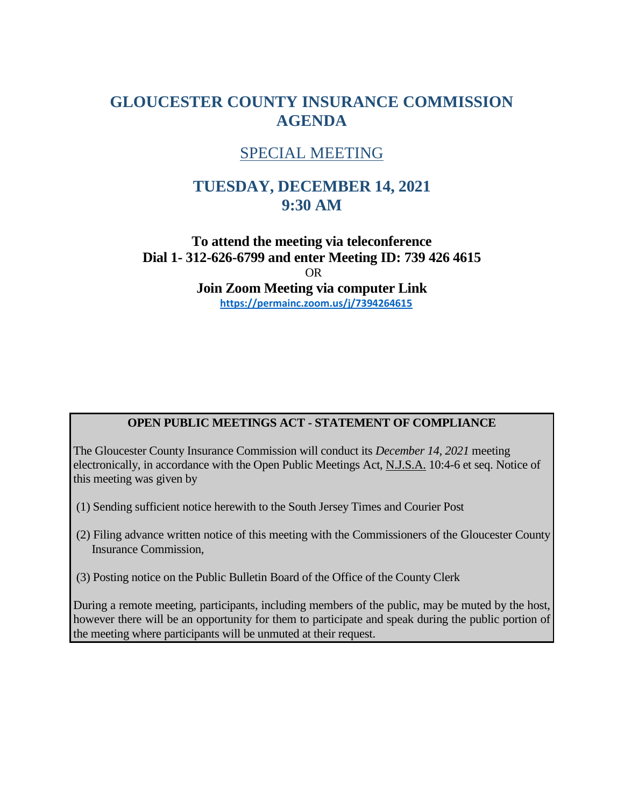# **GLOUCESTER COUNTY INSURANCE COMMISSION AGENDA**

## SPECIAL MEETING

# **TUESDAY, DECEMBER 14, 2021 9:30 AM**

**To attend the meeting via teleconference Dial 1- 312-626-6799 and enter Meeting ID: 739 426 4615** OR **Join Zoom Meeting via computer Link <https://permainc.zoom.us/j/7394264615>**

## **OPEN PUBLIC MEETINGS ACT - STATEMENT OF COMPLIANCE**

The Gloucester County Insurance Commission will conduct its *December 14, 2021* meeting electronically, in accordance with the Open Public Meetings Act, N.J.S.A. 10:4-6 et seq. Notice of this meeting was given by

- (1) Sending sufficient notice herewith to the South Jersey Times and Courier Post
- (2) Filing advance written notice of this meeting with the Commissioners of the Gloucester County Insurance Commission,
- (3) Posting notice on the Public Bulletin Board of the Office of the County Clerk

During a remote meeting, participants, including members of the public, may be muted by the host, however there will be an opportunity for them to participate and speak during the public portion of the meeting where participants will be unmuted at their request.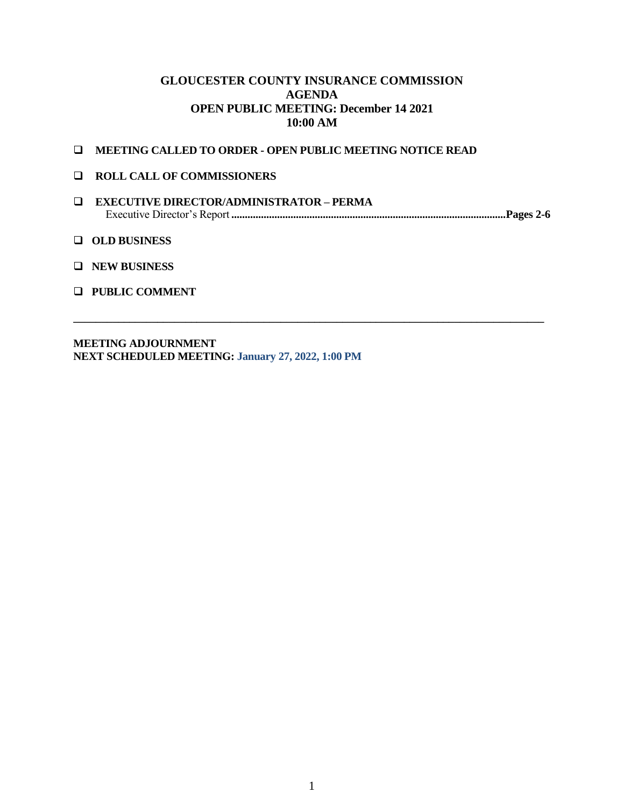### **GLOUCESTER COUNTY INSURANCE COMMISSION AGENDA OPEN PUBLIC MEETING: December 14 2021 10:00 AM**

- **MEETING CALLED TO ORDER - OPEN PUBLIC MEETING NOTICE READ**
- **ROLL CALL OF COMMISSIONERS**
- **EXECUTIVE DIRECTOR/ADMINISTRATOR – PERMA** Executive Director's Report **......................................................................................................Pages 2-6**

**\_\_\_\_\_\_\_\_\_\_\_\_\_\_\_\_\_\_\_\_\_\_\_\_\_\_\_\_\_\_\_\_\_\_\_\_\_\_\_\_\_\_\_\_\_\_\_\_\_\_\_\_\_\_\_\_\_\_\_\_\_\_\_\_\_\_\_\_\_\_\_\_\_\_\_\_\_\_\_\_\_\_\_\_**

- **OLD BUSINESS**
- **NEW BUSINESS**
- **PUBLIC COMMENT**

**MEETING ADJOURNMENT NEXT SCHEDULED MEETING: January 27, 2022, 1:00 PM**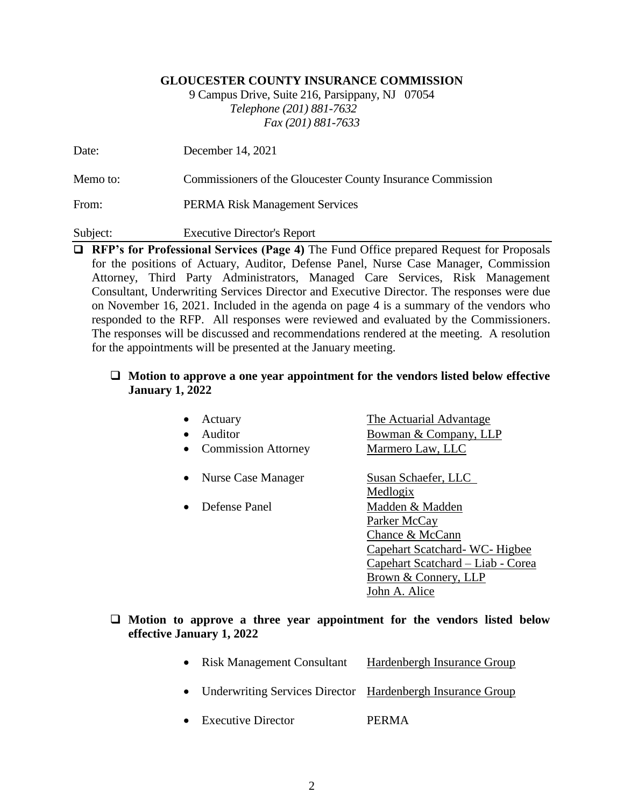#### **GLOUCESTER COUNTY INSURANCE COMMISSION**

9 Campus Drive, Suite 216, Parsippany, NJ 07054 *Telephone (201) 881-7632 Fax (201) 881-7633*

| Date:    | December 14, 2021                                           |
|----------|-------------------------------------------------------------|
| Memo to: | Commissioners of the Gloucester County Insurance Commission |
| From:    | <b>PERMA Risk Management Services</b>                       |
| Subject: | <b>Executive Director's Report</b>                          |

**RFP's for Professional Services (Page 4)** The Fund Office prepared Request for Proposals for the positions of Actuary, Auditor, Defense Panel, Nurse Case Manager, Commission Attorney, Third Party Administrators, Managed Care Services, Risk Management Consultant, Underwriting Services Director and Executive Director. The responses were due on November 16, 2021. Included in the agenda on page 4 is a summary of the vendors who responded to the RFP. All responses were reviewed and evaluated by the Commissioners. The responses will be discussed and recommendations rendered at the meeting. A resolution for the appointments will be presented at the January meeting.

#### **Motion to approve a one year appointment for the vendors listed below effective January 1, 2022**

| Actuary                    | The Actuarial Advantage           |
|----------------------------|-----------------------------------|
| Auditor                    | Bowman & Company, LLP             |
| <b>Commission Attorney</b> | Marmero Law, LLC                  |
| Nurse Case Manager         | Susan Schaefer, LLC               |
|                            | Medlogix                          |
| Defense Panel              | Madden & Madden                   |
|                            | Parker McCay                      |
|                            | Chance & McCann                   |
|                            | Capehart Scatchard - WC - Higbee  |
|                            | Capehart Scatchard - Liab - Corea |
|                            | Brown & Connery, LLP              |
|                            | John A. Alice                     |
|                            |                                   |

### **Motion to approve a three year appointment for the vendors listed below effective January 1, 2022**

- Risk Management Consultant Hardenbergh Insurance Group
- Underwriting Services Director Hardenbergh Insurance Group
- Executive Director PERMA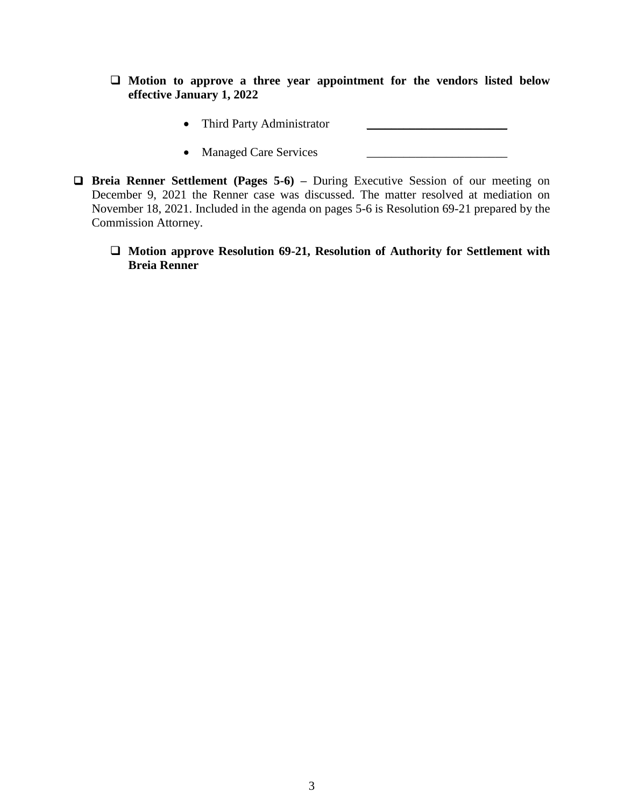- **Motion to approve a three year appointment for the vendors listed below effective January 1, 2022**
	- Third Party Administrator
	- Managed Care Services \_\_\_\_\_\_\_\_\_\_\_\_\_\_\_\_\_\_\_\_\_\_\_
- **Breia Renner Settlement (Pages 5-6) –** During Executive Session of our meeting on December 9, 2021 the Renner case was discussed. The matter resolved at mediation on November 18, 2021. Included in the agenda on pages 5-6 is Resolution 69-21 prepared by the Commission Attorney.
	- **Motion approve Resolution 69-21, Resolution of Authority for Settlement with Breia Renner**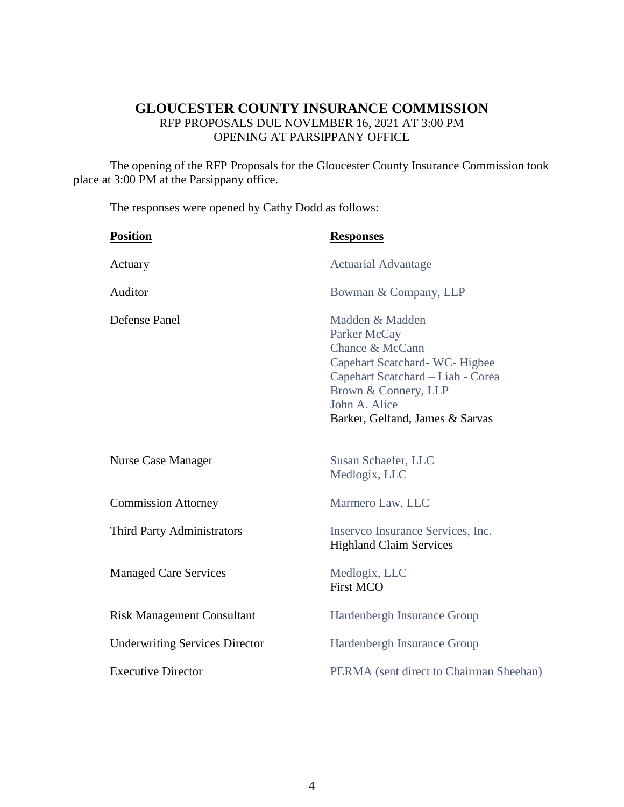## **GLOUCESTER COUNTY INSURANCE COMMISSION** RFP PROPOSALS DUE NOVEMBER 16, 2021 AT 3:00 PM OPENING AT PARSIPPANY OFFICE

The opening of the RFP Proposals for the Gloucester County Insurance Commission took place at 3:00 PM at the Parsippany office.

The responses were opened by Cathy Dodd as follows:

| <b>Position</b>                       | <b>Responses</b>                                                                                                                                                                                    |
|---------------------------------------|-----------------------------------------------------------------------------------------------------------------------------------------------------------------------------------------------------|
| Actuary                               | <b>Actuarial Advantage</b>                                                                                                                                                                          |
| Auditor                               | Bowman & Company, LLP                                                                                                                                                                               |
| Defense Panel                         | Madden & Madden<br>Parker McCay<br>Chance & McCann<br>Capehart Scatchard-WC-Higbee<br>Capehart Scatchard - Liab - Corea<br>Brown & Connery, LLP<br>John A. Alice<br>Barker, Gelfand, James & Sarvas |
| <b>Nurse Case Manager</b>             | Susan Schaefer, LLC<br>Medlogix, LLC                                                                                                                                                                |
| <b>Commission Attorney</b>            | Marmero Law, LLC                                                                                                                                                                                    |
| Third Party Administrators            | Inserveo Insurance Services, Inc.<br><b>Highland Claim Services</b>                                                                                                                                 |
| <b>Managed Care Services</b>          | Medlogix, LLC<br><b>First MCO</b>                                                                                                                                                                   |
| <b>Risk Management Consultant</b>     | Hardenbergh Insurance Group                                                                                                                                                                         |
| <b>Underwriting Services Director</b> | Hardenbergh Insurance Group                                                                                                                                                                         |
| <b>Executive Director</b>             | PERMA (sent direct to Chairman Sheehan)                                                                                                                                                             |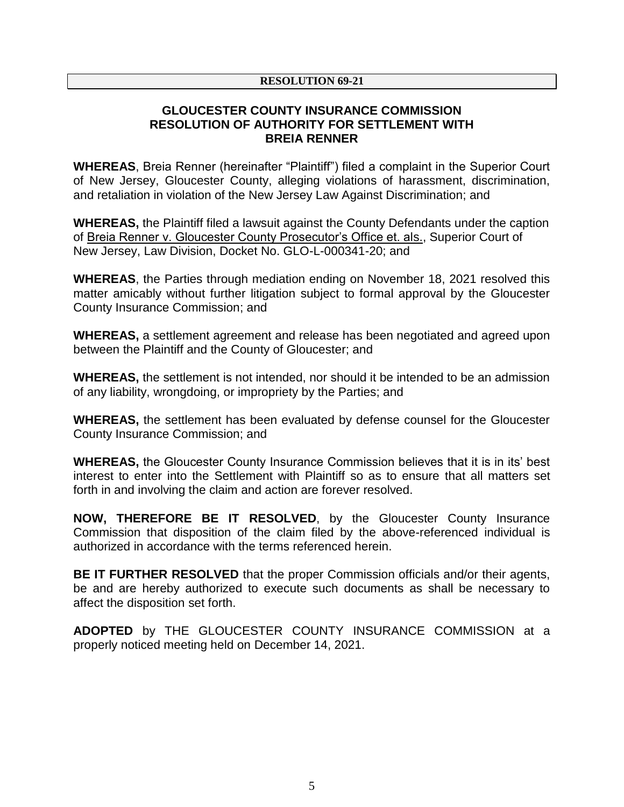#### **RESOLUTION 69-21**

### **GLOUCESTER COUNTY INSURANCE COMMISSION RESOLUTION OF AUTHORITY FOR SETTLEMENT WITH BREIA RENNER**

**WHEREAS**, Breia Renner (hereinafter "Plaintiff") filed a complaint in the Superior Court of New Jersey, Gloucester County, alleging violations of harassment, discrimination, and retaliation in violation of the New Jersey Law Against Discrimination; and

**WHEREAS,** the Plaintiff filed a lawsuit against the County Defendants under the caption of Breia Renner v. Gloucester County Prosecutor's Office et. als., Superior Court of New Jersey, Law Division, Docket No. GLO-L-000341-20; and

**WHEREAS**, the Parties through mediation ending on November 18, 2021 resolved this matter amicably without further litigation subject to formal approval by the Gloucester County Insurance Commission; and

**WHEREAS,** a settlement agreement and release has been negotiated and agreed upon between the Plaintiff and the County of Gloucester; and

**WHEREAS,** the settlement is not intended, nor should it be intended to be an admission of any liability, wrongdoing, or impropriety by the Parties; and

**WHEREAS,** the settlement has been evaluated by defense counsel for the Gloucester County Insurance Commission; and

**WHEREAS,** the Gloucester County Insurance Commission believes that it is in its' best interest to enter into the Settlement with Plaintiff so as to ensure that all matters set forth in and involving the claim and action are forever resolved.

**NOW, THEREFORE BE IT RESOLVED**, by the Gloucester County Insurance Commission that disposition of the claim filed by the above-referenced individual is authorized in accordance with the terms referenced herein.

**BE IT FURTHER RESOLVED** that the proper Commission officials and/or their agents, be and are hereby authorized to execute such documents as shall be necessary to affect the disposition set forth.

**ADOPTED** by THE GLOUCESTER COUNTY INSURANCE COMMISSION at a properly noticed meeting held on December 14, 2021.